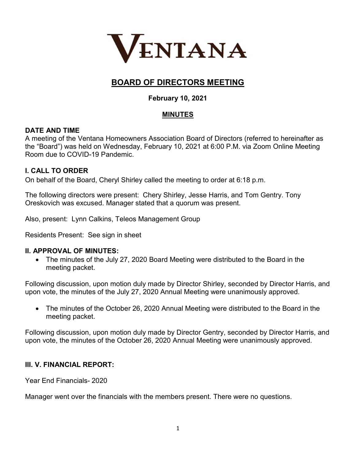

# BOARD OF DIRECTORS MEETING

# February 10, 2021

# **MINUTES**

# DATE AND TIME

A meeting of the Ventana Homeowners Association Board of Directors (referred to hereinafter as the "Board") was held on Wednesday, February 10, 2021 at 6:00 P.M. via Zoom Online Meeting Room due to COVID-19 Pandemic.

# I. CALL TO ORDER

On behalf of the Board, Cheryl Shirley called the meeting to order at 6:18 p.m.

The following directors were present: Chery Shirley, Jesse Harris, and Tom Gentry. Tony Oreskovich was excused. Manager stated that a quorum was present.

Also, present: Lynn Calkins, Teleos Management Group

Residents Present: See sign in sheet

### II. APPROVAL OF MINUTES:

 The minutes of the July 27, 2020 Board Meeting were distributed to the Board in the meeting packet.

Following discussion, upon motion duly made by Director Shirley, seconded by Director Harris, and upon vote, the minutes of the July 27, 2020 Annual Meeting were unanimously approved.

 The minutes of the October 26, 2020 Annual Meeting were distributed to the Board in the meeting packet.

Following discussion, upon motion duly made by Director Gentry, seconded by Director Harris, and upon vote, the minutes of the October 26, 2020 Annual Meeting were unanimously approved.

# III. V. FINANCIAL REPORT:

Year End Financials- 2020

Manager went over the financials with the members present. There were no questions.